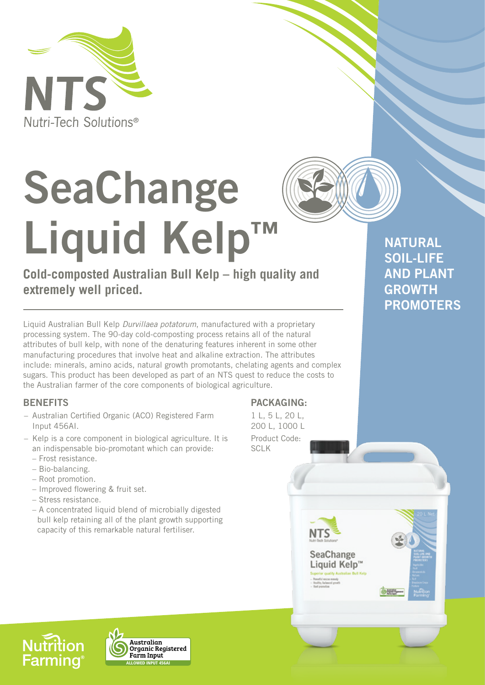

# **SeaChange Liquid Kelp™**

# **Cold-composted Australian Bull Kelp – high quality and extremely well priced.**

Liquid Australian Bull Kelp *Durvillaea potatorum*, manufactured with a proprietary processing system. The 90-day cold-composting process retains all of the natural attributes of bull kelp, with none of the denaturing features inherent in some other manufacturing procedures that involve heat and alkaline extraction. The attributes include: minerals, amino acids, natural growth promotants, chelating agents and complex sugars. This product has been developed as part of an NTS quest to reduce the costs to the Australian farmer of the core components of biological agriculture.

# **BENEFITS**

- Australian Certified Organic (ACO) Registered Farm Input 456AI.
- Kelp is a core component in biological agriculture. It is an indispensable bio-promotant which can provide:
	- Frost resistance.
	- Bio-balancing.
	- Root promotion.
	- Improved flowering & fruit set.
	- Stress resistance.
	- A concentrated liquid blend of microbially digested bull kelp retaining all of the plant growth supporting capacity of this remarkable natural fertiliser.

**PACKAGING:**

1 L, 5 L, 20 L, 200 L, 1000 L Product Code: SCLK

**NATURAL SOIL-LIFE AND PLANT GROWTH PROMOTERS**



**Nutrition Farming**